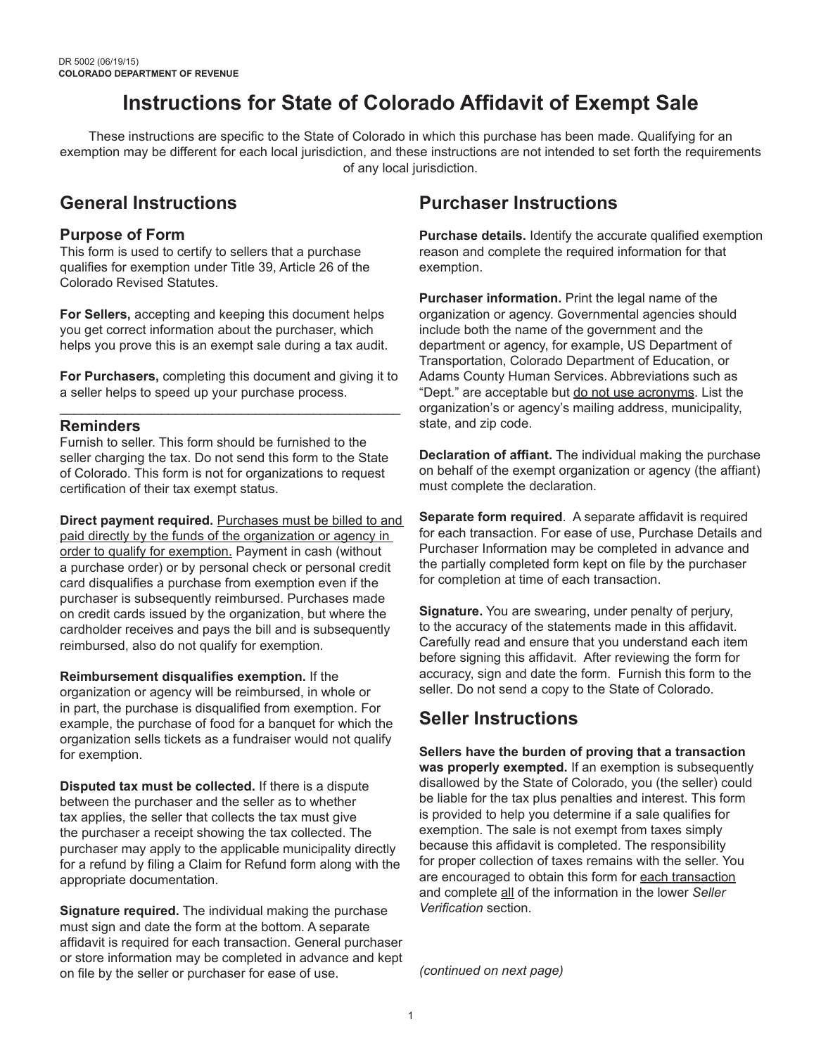## **Instructions for State of Colorado Affidavit of Exempt Sale**

These instructions are specific to the State of Colorado in which this purchase has been made. Qualifying for an exemption may be different for each local jurisdiction, and these instructions are not intended to set forth the requirements of any local jurisdiction.

### **General Instructions**

#### **Purpose of Form**

This form is used to certify to sellers that a purchase qualifies for exemption under Title 39, Article 26 of the Colorado Revised Statutes.

**For Sellers,** accepting and keeping this document helps you get correct information about the purchaser, which helps you prove this is an exempt sale during a tax audit.

**For Purchasers,** completing this document and giving it to a seller helps to speed up your purchase process. \_\_\_\_\_\_\_\_\_\_\_\_\_\_\_\_\_\_\_\_\_\_\_\_\_\_\_\_\_\_\_\_\_\_\_\_\_\_\_\_\_\_\_\_\_\_\_

#### **Reminders**

Furnish to seller. This form should be furnished to the seller charging the tax. Do not send this form to the State of Colorado. This form is not for organizations to request certification of their tax exempt status.

**Direct payment required.** Purchases must be billed to and paid directly by the funds of the organization or agency in order to qualify for exemption. Payment in cash (without a purchase order) or by personal check or personal credit card disqualifies a purchase from exemption even if the purchaser is subsequently reimbursed. Purchases made on credit cards issued by the organization, but where the cardholder receives and pays the bill and is subsequently reimbursed, also do not qualify for exemption.

**Reimbursement disqualifies exemption.** If the organization or agency will be reimbursed, in whole or in part, the purchase is disqualified from exemption. For example, the purchase of food for a banquet for which the organization sells tickets as a fundraiser would not qualify for exemption.

**Disputed tax must be collected.** If there is a dispute between the purchaser and the seller as to whether tax applies, the seller that collects the tax must give the purchaser a receipt showing the tax collected. The purchaser may apply to the applicable municipality directly for a refund by filing a Claim for Refund form along with the appropriate documentation.

**Signature required.** The individual making the purchase must sign and date the form at the bottom. A separate affidavit is required for each transaction. General purchaser or store information may be completed in advance and kept on file by the seller or purchaser for ease of use.

## **Purchaser Instructions**

**Purchase details.** Identify the accurate qualified exemption reason and complete the required information for that exemption.

**Purchaser information.** Print the legal name of the organization or agency. Governmental agencies should include both the name of the government and the department or agency, for example, US Department of Transportation, Colorado Department of Education, or Adams County Human Services. Abbreviations such as "Dept." are acceptable but do not use acronyms. List the organization's or agency's mailing address, municipality, state, and zip code.

**Declaration of affiant.** The individual making the purchase on behalf of the exempt organization or agency (the affiant) must complete the declaration.

**Separate form required**. A separate affidavit is required for each transaction. For ease of use, Purchase Details and Purchaser Information may be completed in advance and the partially completed form kept on file by the purchaser for completion at time of each transaction.

**Signature.** You are swearing, under penalty of perjury, to the accuracy of the statements made in this affidavit. Carefully read and ensure that you understand each item before signing this affidavit. After reviewing the form for accuracy, sign and date the form. Furnish this form to the seller. Do not send a copy to the State of Colorado.

### **Seller Instructions**

**Sellers have the burden of proving that a transaction was properly exempted.** If an exemption is subsequently disallowed by the State of Colorado, you (the seller) could be liable for the tax plus penalties and interest. This form is provided to help you determine if a sale qualifies for exemption. The sale is not exempt from taxes simply because this affidavit is completed. The responsibility for proper collection of taxes remains with the seller. You are encouraged to obtain this form for each transaction and complete all of the information in the lower *Seller Verification* section.

*(continued on next page)*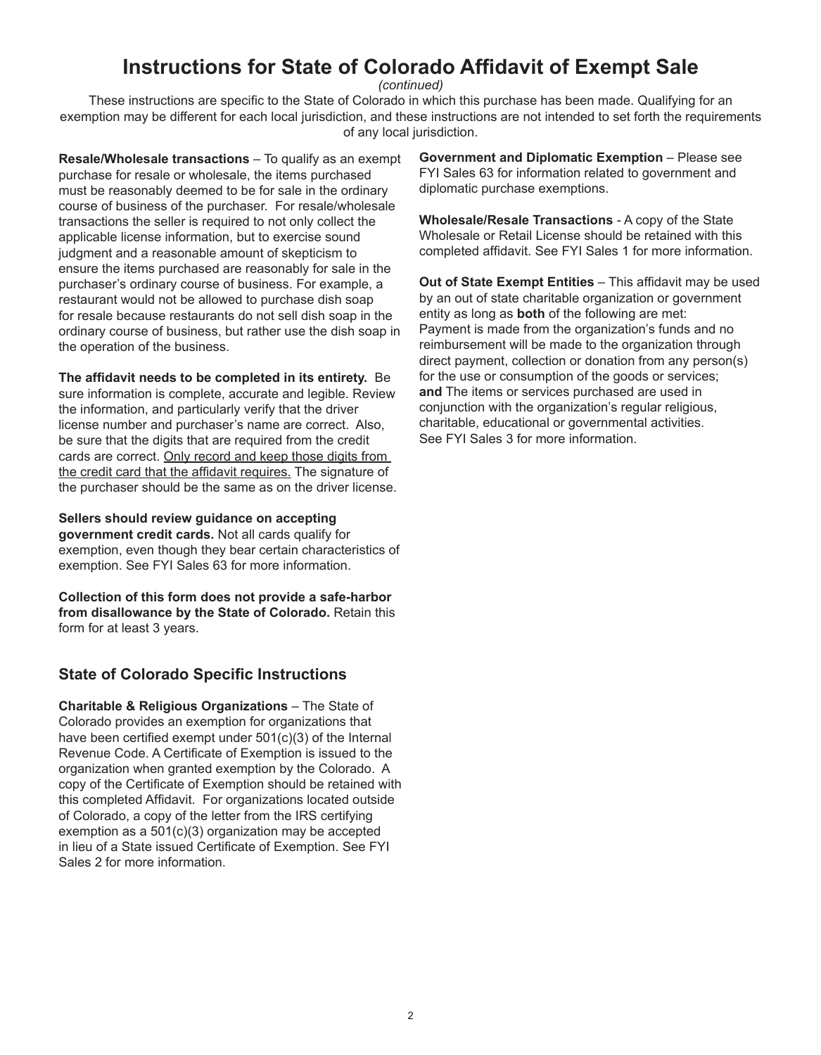## **Instructions for State of Colorado Affidavit of Exempt Sale**

*(continued)*

These instructions are specific to the State of Colorado in which this purchase has been made. Qualifying for an exemption may be different for each local jurisdiction, and these instructions are not intended to set forth the requirements of any local jurisdiction.

**Resale/Wholesale transactions** – To qualify as an exempt purchase for resale or wholesale, the items purchased must be reasonably deemed to be for sale in the ordinary course of business of the purchaser. For resale/wholesale transactions the seller is required to not only collect the applicable license information, but to exercise sound judgment and a reasonable amount of skepticism to ensure the items purchased are reasonably for sale in the purchaser's ordinary course of business. For example, a restaurant would not be allowed to purchase dish soap for resale because restaurants do not sell dish soap in the ordinary course of business, but rather use the dish soap in the operation of the business.

**The affidavit needs to be completed in its entirety.** Be sure information is complete, accurate and legible. Review the information, and particularly verify that the driver license number and purchaser's name are correct. Also, be sure that the digits that are required from the credit cards are correct. Only record and keep those digits from the credit card that the affidavit requires. The signature of the purchaser should be the same as on the driver license.

**Sellers should review guidance on accepting government credit cards.** Not all cards qualify for exemption, even though they bear certain characteristics of exemption. See FYI Sales 63 for more information.

**Collection of this form does not provide a safe-harbor from disallowance by the State of Colorado.** Retain this form for at least 3 years.

#### **State of Colorado Specific Instructions**

**Charitable & Religious Organizations** – The State of Colorado provides an exemption for organizations that have been certified exempt under 501(c)(3) of the Internal Revenue Code. A Certificate of Exemption is issued to the organization when granted exemption by the Colorado. A copy of the Certificate of Exemption should be retained with this completed Affidavit. For organizations located outside of Colorado, a copy of the letter from the IRS certifying exemption as a 501(c)(3) organization may be accepted in lieu of a State issued Certificate of Exemption. See FYI Sales 2 for more information.

**Government and Diplomatic Exemption** – Please see FYI Sales 63 for information related to government and diplomatic purchase exemptions.

**Wholesale/Resale Transactions** - A copy of the State Wholesale or Retail License should be retained with this completed affidavit. See FYI Sales 1 for more information.

**Out of State Exempt Entities** – This affidavit may be used by an out of state charitable organization or government entity as long as **both** of the following are met: Payment is made from the organization's funds and no reimbursement will be made to the organization through direct payment, collection or donation from any person(s) for the use or consumption of the goods or services; **and** The items or services purchased are used in conjunction with the organization's regular religious, charitable, educational or governmental activities. See FYI Sales 3 for more information.